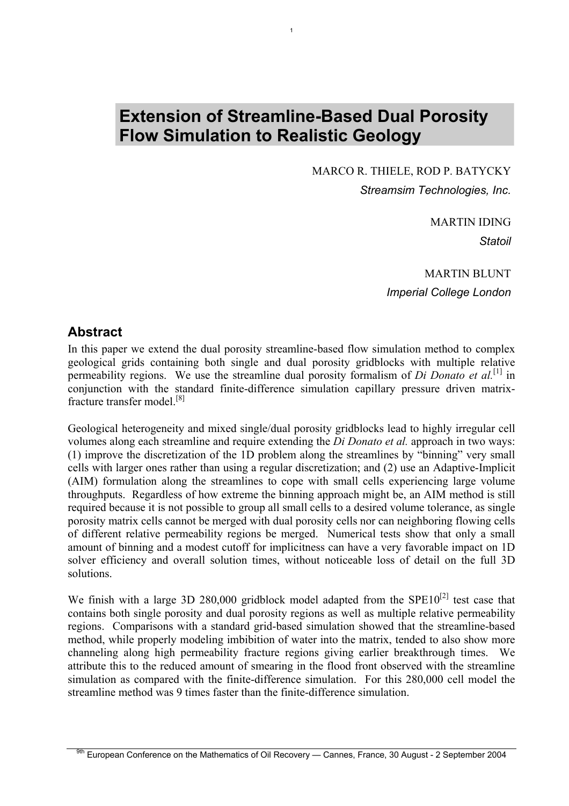# **Extension of Streamline-Based Dual Porosity Flow Simulation to Realistic Geology**

1

MARCO R. THIELE, ROD P. BATYCKY *Streamsim Technologies, Inc.*

> MARTIN IDING *Statoil*

MARTIN BLUNT *Imperial College London*

### **Abstract**

In this paper we extend the dual porosity streamline-based flow simulation method to complex geological grids containing both single and dual porosity gridblocks with multiple relative permeability regions. We use the streamline dual porosity formalism of *Di Donato et al.*<sup>[\[1\]](#page-13-0)</sup> in conjunction with the standard finite-difference simulation capillary pressure driven matrixfracture transfer model.[\[8\]](#page-14-0) 

Geological heterogeneity and mixed single/dual porosity gridblocks lead to highly irregular cell volumes along each streamline and require extending the *Di Donato et al.* approach in two ways: (1) improve the discretization of the 1D problem along the streamlines by "binning" very small cells with larger ones rather than using a regular discretization; and (2) use an Adaptive-Implicit (AIM) formulation along the streamlines to cope with small cells experiencing large volume throughputs. Regardless of how extreme the binning approach might be, an AIM method is still required because it is not possible to group all small cells to a desired volume tolerance, as single porosity matrix cells cannot be merged with dual porosity cells nor can neighboring flowing cells of different relative permeability regions be merged. Numerical tests show that only a small amount of binning and a modest cutoff for implicitness can have a very favorable impact on 1D solver efficiency and overall solution times, without noticeable loss of detail on the full 3D solutions.

We finish with a large 3D 280,000 gridblock model adapted from the  $SPE10^{[2]}$  test case that contains both single porosity and dual porosity regions as well as multiple relative permeability regions. Comparisons with a standard grid-based simulation showed that the streamline-based method, while properly modeling imbibition of water into the matrix, tended to also show more channeling along high permeability fracture regions giving earlier breakthrough times. We attribute this to the reduced amount of smearing in the flood front observed with the streamline simulation as compared with the finite-difference simulation. For this 280,000 cell model the streamline method was 9 times faster than the finite-difference simulation.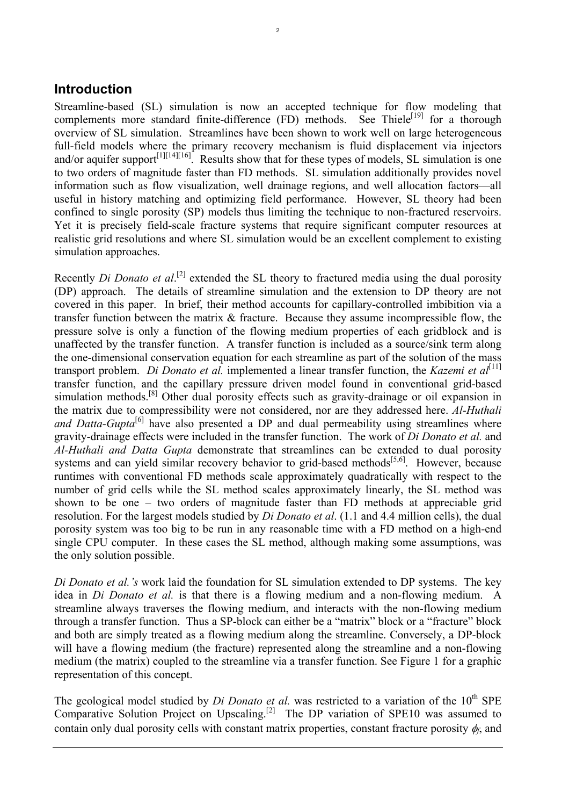### **Introduction**

Streamline-based (SL) simulation is now an accepted technique for flow modeling that complements more standard finite-difference (FD) methods. See Thiele<sup>[19]</sup> for a thorough complements more standard finite-difference (FD) methods. overview of SL simulation. Streamlines have been shown to work well on large heterogeneous full-field models where the primary recovery mechanism is fluid displacement via injectors and/or aquifer support<sup>[\[1\]](#page-13-0)[\[14\]\[](#page-14-2)16]</sup>. Results show that for these types of models, SL simulation is one to two orders of magnitude faster than FD methods. SL simulation additionally provides novel information such as flow visualization, well drainage regions, and well allocation factors—all useful in history matching and optimizing field performance. However, SL theory had been confined to single porosity (SP) models thus limiting the technique to non-fractured reservoirs. Yet it is precisely field-scale fracture systems that require significant computer resources at realistic grid resolutions and where SL simulation would be an excellent complement to existing simulation approaches.

Recently *Di Donato et al.*<sup>[2]</sup> extended the SL theory to fractured media using the dual porosity (DP) approach. The details of streamline simulation and the extension to DP theory are not covered in this paper. In brief, their method accounts for capillary-controlled imbibition via a transfer function between the matrix & fracture. Because they assume incompressible flow, the pressure solve is only a function of the flowing medium properties of each gridblock and is unaffected by the transfer function. A transfer function is included as a source/sink term along the one-dimensional conservation equation for each streamline as part of the solution of the mass transport problem. *Di Donato et al.* implemented a linear transfer function, the *Kazemi et al*<sup>[11]</sup> transfer function, and the capillary pressure driven model found in conventional grid-based simulation methods.<sup>[8]</sup> Other dual porosity effects such as gravity-drainage or oil expansion in the matrix due to compressibility were not considered, nor are they addressed here. *Al-Huthali and Datta-Gupta*<sup>[6]</sup> have also presented a DP and dual permeability using streamlines where gravity-drainage effects were included in the transfer function. The work of *Di Donato et al.* and *Al-Huthali and Datta Gupta* demonstrate that streamlines can be extended to dual porosity systems and can yield similar recovery behavior to grid-based methods $[5,6]$ . However, because runtimes with conventional FD methods scale approximately quadratically with respect to the number of grid cells while the SL method scales approximately linearly, the SL method was shown to be one – two orders of magnitude faster than FD methods at appreciable grid resolution. For the largest models studied by *Di Donato et al*. (1.1 and 4.4 million cells), the dual porosity system was too big to be run in any reasonable time with a FD method on a high-end single CPU computer. In these cases the SL method, although making some assumptions, was the only solution possible.

*Di Donato et al.'s* work laid the foundation for SL simulation extended to DP systems. The key idea in *Di Donato et al.* is that there is a flowing medium and a non-flowing medium. A streamline always traverses the flowing medium, and interacts with the non-flowing medium through a transfer function. Thus a SP-block can either be a "matrix" block or a "fracture" block and both are simply treated as a flowing medium along the streamline. Conversely, a DP-block will have a flowing medium (the fracture) represented along the streamline and a non-flowing medium (the matrix) coupled to the streamline via a transfer function. See [Figure 1](#page-3-0) for a graphic representation of this concept.

The geological model studied by *Di Donato et al.* was restricted to a variation of the 10<sup>th</sup> SPE Comparative Solution Project on Upscaling.<sup>[2]</sup> The DP variation of SPE10 was assumed to contain only dual porosity cells with constant matrix properties, constant fracture porosity φ*f*, and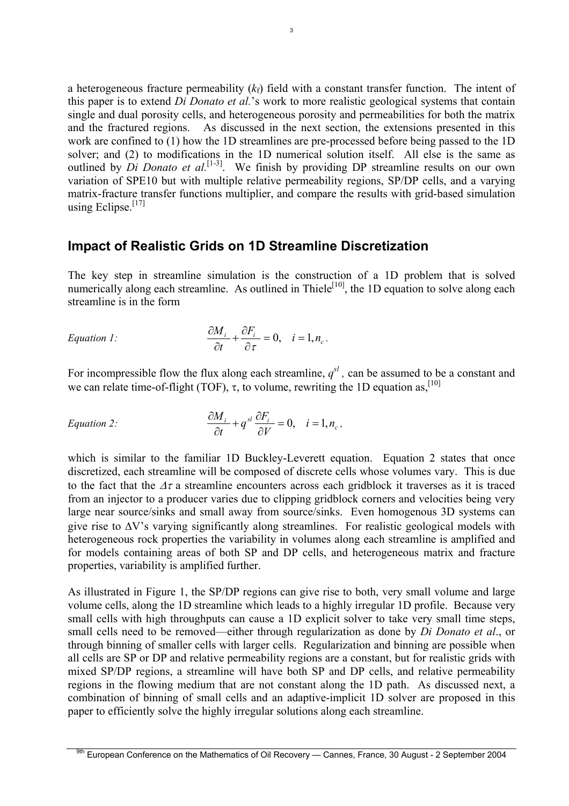a heterogeneous fracture permeability  $(k_f)$  field with a constant transfer function. The intent of this paper is to extend *Di Donato et al.*'s work to more realistic geological systems that contain single and dual porosity cells, and heterogeneous porosity and permeabilities for both the matrix and the fractured regions. As discussed in the next section, the extensions presented in this work are confined to (1) how the 1D streamlines are pre-processed before being passed to the 1D solver; and (2) to modifications in the 1D numerical solution itself. All else is the same as outlined by *Di Donato et al.*<sup>[1-3]</sup>. We finish by providing DP streamline results on our own variation of SPE10 but with multiple relative permeability regions, SP/DP cells, and a varying matrix-fracture transfer functions multiplier, and compare the results with grid-based simulation using Eclipse. $[17]$ 

### **Impact of Realistic Grids on 1D Streamline Discretization**

The key step in streamline simulation is the construction of a 1D problem that is solved numerically along each streamline. As outlined in Thiele<sup>[10]</sup>, the 1D equation to solve along each streamline is in the form

Equation 1: 
$$
\frac{\partial M_i}{\partial t} + \frac{\partial F_i}{\partial \tau} = 0, \quad i = 1, n_c.
$$

For incompressible flow the flux along each streamline,  $q^{sl}$ , can be assumed to be a constant and we can relate time-of-flight (TOF),  $\tau$ , to volume, rewriting the 1D equation as, <sup>[\[10\]](#page-14-6)</sup>

<span id="page-2-0"></span>Equation 2: 
$$
\frac{\partial M_i}{\partial t} + q^{sl} \frac{\partial F_i}{\partial V} = 0, \quad i = 1, n_c,
$$

which is similar to the familiar 1D Buckley-Leverett equation. [Equation 2](#page-2-0) states that once discretized, each streamline will be composed of discrete cells whose volumes vary. This is due to the fact that the  $\Delta \tau$  a streamline encounters across each gridblock it traverses as it is traced from an injector to a producer varies due to clipping gridblock corners and velocities being very large near source/sinks and small away from source/sinks. Even homogenous 3D systems can give rise to ∆V's varying significantly along streamlines. For realistic geological models with heterogeneous rock properties the variability in volumes along each streamline is amplified and for models containing areas of both SP and DP cells, and heterogeneous matrix and fracture properties, variability is amplified further.

As illustrated in [Figure 1,](#page-3-0) the SP/DP regions can give rise to both, very small volume and large volume cells, along the 1D streamline which leads to a highly irregular 1D profile. Because very small cells with high throughputs can cause a 1D explicit solver to take very small time steps, small cells need to be removed—either through regularization as done by *Di Donato et al*., or through binning of smaller cells with larger cells. Regularization and binning are possible when all cells are SP or DP and relative permeability regions are a constant, but for realistic grids with mixed SP/DP regions, a streamline will have both SP and DP cells, and relative permeability regions in the flowing medium that are not constant along the 1D path. As discussed next, a combination of binning of small cells and an adaptive-implicit 1D solver are proposed in this paper to efficiently solve the highly irregular solutions along each streamline.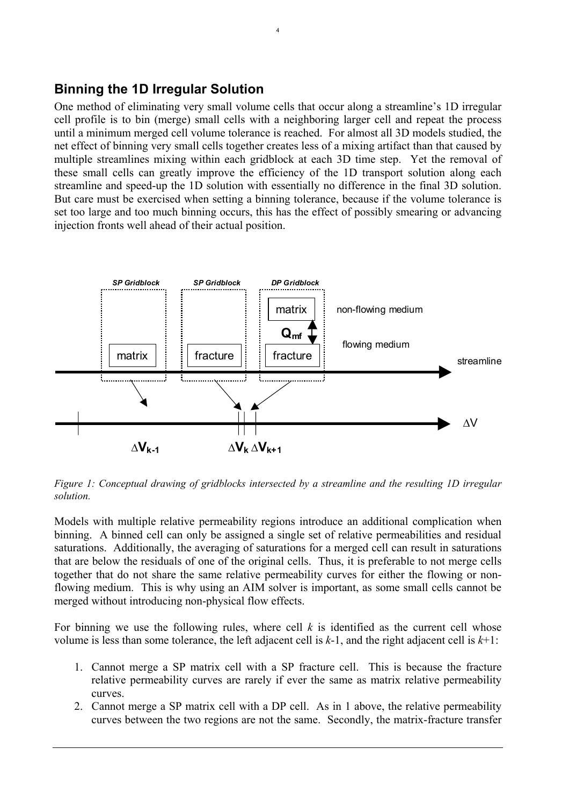# **Binning the 1D Irregular Solution**

One method of eliminating very small volume cells that occur along a streamline's 1D irregular cell profile is to bin (merge) small cells with a neighboring larger cell and repeat the process until a minimum merged cell volume tolerance is reached. For almost all 3D models studied, the net effect of binning very small cells together creates less of a mixing artifact than that caused by multiple streamlines mixing within each gridblock at each 3D time step. Yet the removal of these small cells can greatly improve the efficiency of the 1D transport solution along each streamline and speed-up the 1D solution with essentially no difference in the final 3D solution. But care must be exercised when setting a binning tolerance, because if the volume tolerance is set too large and too much binning occurs, this has the effect of possibly smearing or advancing injection fronts well ahead of their actual position.

4



<span id="page-3-0"></span>*Figure 1: Conceptual drawing of gridblocks intersected by a streamline and the resulting 1D irregular solution.* 

Models with multiple relative permeability regions introduce an additional complication when binning. A binned cell can only be assigned a single set of relative permeabilities and residual saturations. Additionally, the averaging of saturations for a merged cell can result in saturations that are below the residuals of one of the original cells. Thus, it is preferable to not merge cells together that do not share the same relative permeability curves for either the flowing or nonflowing medium. This is why using an AIM solver is important, as some small cells cannot be merged without introducing non-physical flow effects.

For binning we use the following rules, where cell *k* is identified as the current cell whose volume is less than some tolerance, the left adjacent cell is *k*-1, and the right adjacent cell is *k*+1:

- 1. Cannot merge a SP matrix cell with a SP fracture cell. This is because the fracture relative permeability curves are rarely if ever the same as matrix relative permeability curves.
- 2. Cannot merge a SP matrix cell with a DP cell. As in 1 above, the relative permeability curves between the two regions are not the same. Secondly, the matrix-fracture transfer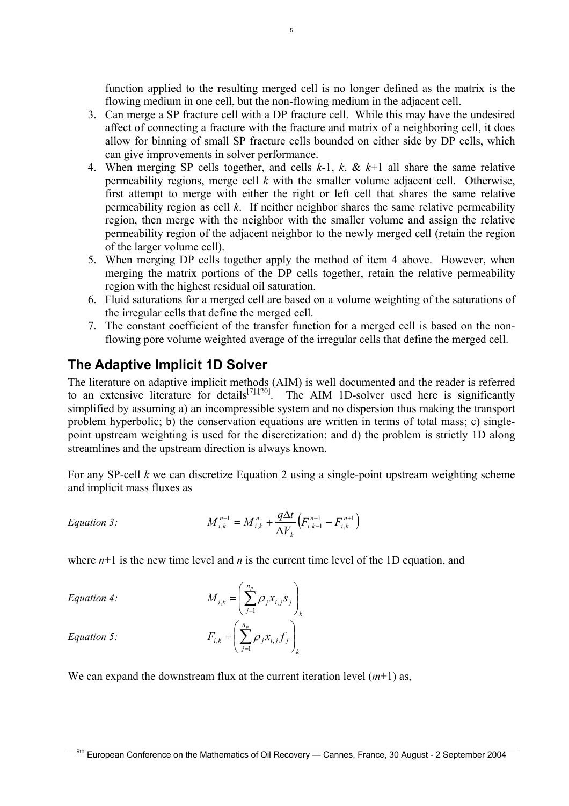function applied to the resulting merged cell is no longer defined as the matrix is the flowing medium in one cell, but the non-flowing medium in the adjacent cell.

3. Can merge a SP fracture cell with a DP fracture cell. While this may have the undesired affect of connecting a fracture with the fracture and matrix of a neighboring cell, it does allow for binning of small SP fracture cells bounded on either side by DP cells, which can give improvements in solver performance.

5

- 4. When merging SP cells together, and cells *k*-1, *k*, & *k*+1 all share the same relative permeability regions, merge cell *k* with the smaller volume adjacent cell. Otherwise, first attempt to merge with either the right or left cell that shares the same relative permeability region as cell *k*. If neither neighbor shares the same relative permeability region, then merge with the neighbor with the smaller volume and assign the relative permeability region of the adjacent neighbor to the newly merged cell (retain the region of the larger volume cell).
- 5. When merging DP cells together apply the method of item 4 above. However, when merging the matrix portions of the DP cells together, retain the relative permeability region with the highest residual oil saturation.
- 6. Fluid saturations for a merged cell are based on a volume weighting of the saturations of the irregular cells that define the merged cell.
- 7. The constant coefficient of the transfer function for a merged cell is based on the nonflowing pore volume weighted average of the irregular cells that define the merged cell.

# **The Adaptive Implicit 1D Solver**

The literature on adaptive implicit methods (AIM) is well documented and the reader is referred to an extensive literature for details<sup>[\[7\],](#page-13-2)[\[20\]](#page-14-7)</sup>. The AIM 1D-solver used here is significantly simplified by assuming a) an incompressible system and no dispersion thus making the transport problem hyperbolic; b) the conservation equations are written in terms of total mass; c) singlepoint upstream weighting is used for the discretization; and d) the problem is strictly 1D along streamlines and the upstream direction is always known.

For any SP-cell *k* we can discretize [Equation 2](#page-2-0) using a single-point upstream weighting scheme and implicit mass fluxes as

Equation 3: 
$$
M_{i,k}^{n+1} = M_{i,k}^{n} + \frac{q\Delta t}{\Delta V_k} (F_{i,k-1}^{n+1} - F_{i,k}^{n+1})
$$

where  $n+1$  is the new time level and *n* is the current time level of the 1D equation, and

*Equation 4:* 

$$
M_{i,k} = \left(\sum_{j=1}^{n_p} \rho_j x_{i,j} s_j\right)_k
$$

$$
F_{i,k} = \left(\sum_{j=1}^{n_p} \rho_j x_{i,j} f_j\right)_k
$$

*Equation 5:*

We can expand the downstream flux at the current iteration level  $(m+1)$  as,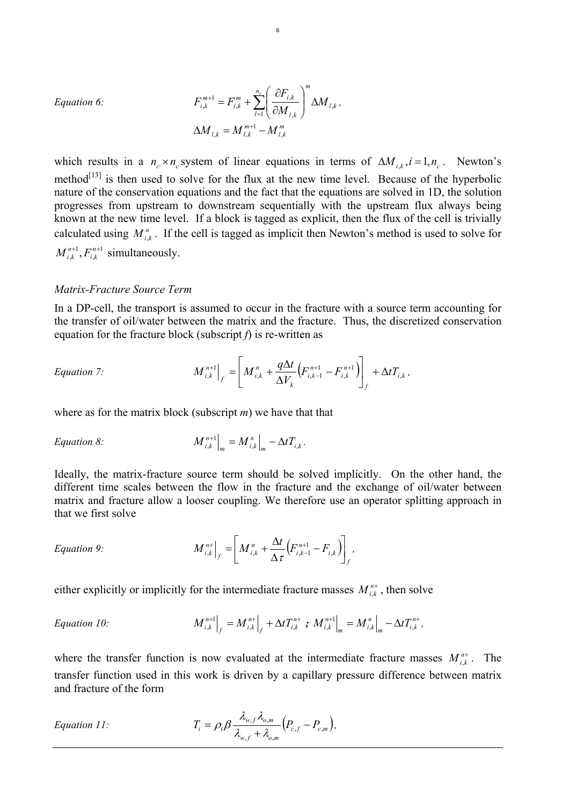*Equation 6:* 

$$
F_{i,k}^{m+1} = F_{i,k}^{m} + \sum_{l=1}^{n_c} \left( \frac{\partial F_{i,k}}{\partial M_{l,k}} \right)^m \Delta M_{l,k},
$$
  

$$
\Delta M_{l,k} = M_{l,k}^{m+1} - M_{l,k}^{m}
$$

which results in a  $n_c \times n_c$  system of linear equations in terms of  $\Delta M_{ik}$ ,  $i = 1, n_c$ . Newton's method<sup>[13]</sup> is then used to solve for the flux at the new time level. Because of the hyperbolic nature of the conservation equations and the fact that the equations are solved in 1D, the solution progresses from upstream to downstream sequentially with the upstream flux always being known at the new time level. If a block is tagged as explicit, then the flux of the cell is trivially calculated using  $M_{i,k}^n$ . If the cell is tagged as implicit then Newton's method is used to solve for <sup>1</sup> simultaneously. ,  ${M}^{n+1}_{i,k}, F^{n+}_{i,k}$ 

#### *Matrix-Fracture Source Term*

In a DP-cell, the transport is assumed to occur in the fracture with a source term accounting for the transfer of oil/water between the matrix and the fracture. Thus, the discretized conservation equation for the fracture block (subscript *f*) is re-written as

Equation 7: 
$$
M_{i,k}^{n+1}\Big|_{f} = \left[M_{i,k}^{n} + \frac{q\Delta t}{\Delta V_{k}}\left(F_{i,k-1}^{n+1} - F_{i,k}^{n+1}\right)\right]_{f} + \Delta t T_{i,k},
$$

where as for the matrix block (subscript *m*) we have that that

Equation 8: 
$$
M_{i,k}^{n+1}\Big|_m = M_{i,k}^n\Big|_m - \Delta t T_{i,k}.
$$

Ideally, the matrix-fracture source term should be solved implicitly. On the other hand, the different time scales between the flow in the fracture and the exchange of oil/water between matrix and fracture allow a looser coupling. We therefore use an operator splitting approach in that we first solve

$$
Equation 9: \qquad \qquad M_{i,k}^{n+}\Big|_f = \Bigg[M_{i,k}^n + \frac{\Delta t}{\Delta \tau} \Big(F_{i,k-1}^{n+1} - F_{i,k}\Big)\Bigg]_f,
$$

either explicitly or implicitly for the intermediate fracture masses  $M_{i,k}^{n+}$ , then solve

Equation 10: 
$$
M_{i,k}^{n+1}|_f = M_{i,k}^{n+1}|_f + \Delta t T_{i,k}^{n+} ; M_{i,k}^{n+1}|_m = M_{i,k}^{n}|_m - \Delta t T_{i,k}^{n+},
$$

where the transfer function is now evaluated at the intermediate fracture masses  $M_{i,k}^{n+}$ . The transfer function used in this work is driven by a capillary pressure difference between matrix and fracture of the form

Equation 11: 
$$
T_i = \rho_i \beta \frac{\lambda_{w,f} \lambda_{o,m}}{\lambda_{w,f} + \lambda_{o,m}} (P_{c,f} - P_{c,m}),
$$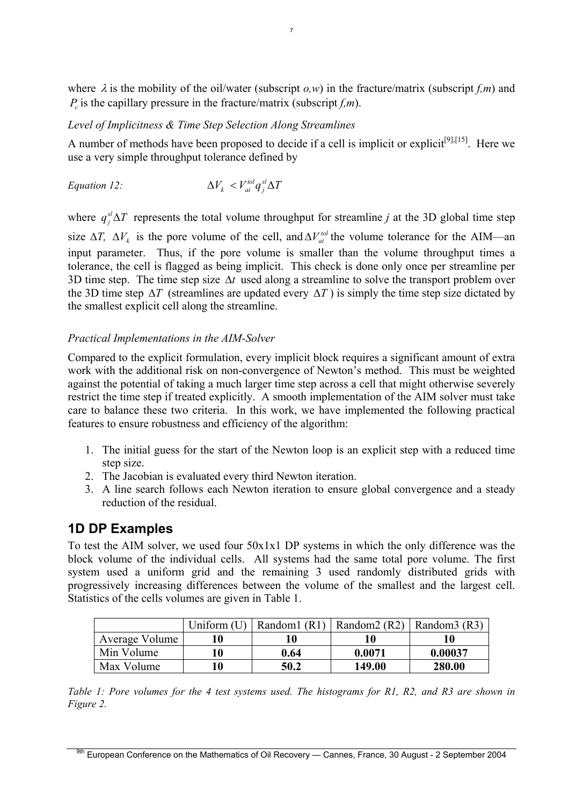where  $\lambda$  is the mobility of the oil/water (subscript  $\rho$ ,w) in the fracture/matrix (subscript  $f$ ,m) and  $P<sub>i</sub>$  is the capillary pressure in the fracture/matrix (subscript  $f<sub>i</sub>m$ ).

#### *Level of Implicitness & Time Step Selection Along Streamlines*

A number of methods have been proposed to decide if a cell is implicit or explicit<sup>[\[9\],](#page-14-9)[15]</sup>. Here we use a very simple throughput tolerance defined by

\n*Equation 12:*\n
$$
\Delta V_k < V_{ai}^{tol} q_j^{sl} \Delta T
$$
\n

where  $q_j^{sl} \Delta T$  represents the total volume throughput for streamline *j* at the 3D global time step size  $\Delta T$ ,  $\Delta V_k$  is the pore volume of the cell, and  $\Delta V_{ai}^{tol}$  the volume tolerance for the AIM—an input parameter. Thus, if the pore volume is smaller than the volume throughput times a tolerance, the cell is flagged as being implicit. This check is done only once per streamline per 3D time step. The time step size  $\Delta t$  used along a streamline to solve the transport problem over the 3D time step  $\Delta T$  (streamlines are updated every  $\Delta T$ ) is simply the time step size dictated by the smallest explicit cell along the streamline.

#### *Practical Implementations in the AIM-Solver*

Compared to the explicit formulation, every implicit block requires a significant amount of extra work with the additional risk on non-convergence of Newton's method. This must be weighted against the potential of taking a much larger time step across a cell that might otherwise severely restrict the time step if treated explicitly. A smooth implementation of the AIM solver must take care to balance these two criteria. In this work, we have implemented the following practical features to ensure robustness and efficiency of the algorithm:

- 1. The initial guess for the start of the Newton loop is an explicit step with a reduced time step size.
- 2. The Jacobian is evaluated every third Newton iteration.
- 3. A line search follows each Newton iteration to ensure global convergence and a steady reduction of the residual.

# **1D DP Examples**

To test the AIM solver, we used four 50x1x1 DP systems in which the only difference was the block volume of the individual cells. All systems had the same total pore volume. The first system used a uniform grid and the remaining 3 used randomly distributed grids with progressively increasing differences between the volume of the smallest and the largest cell. Statistics of the cells volumes are given in [Table 1.](#page-6-0)

|                | Uniform $(U)$ |      | Random1 (R1)   Random2 (R2)   Random3 (R3) |         |
|----------------|---------------|------|--------------------------------------------|---------|
| Average Volume |               |      | 10                                         |         |
| Min Volume     |               | 0.64 | 0.0071                                     | 0.00037 |
| Max Volume     |               | 50.2 | 149.00                                     | 280.00  |

<span id="page-6-0"></span>*Table 1: Pore volumes for the 4 test systems used. The histograms for R1, R2, and R3 are shown in [Figure 2.](#page-7-0)*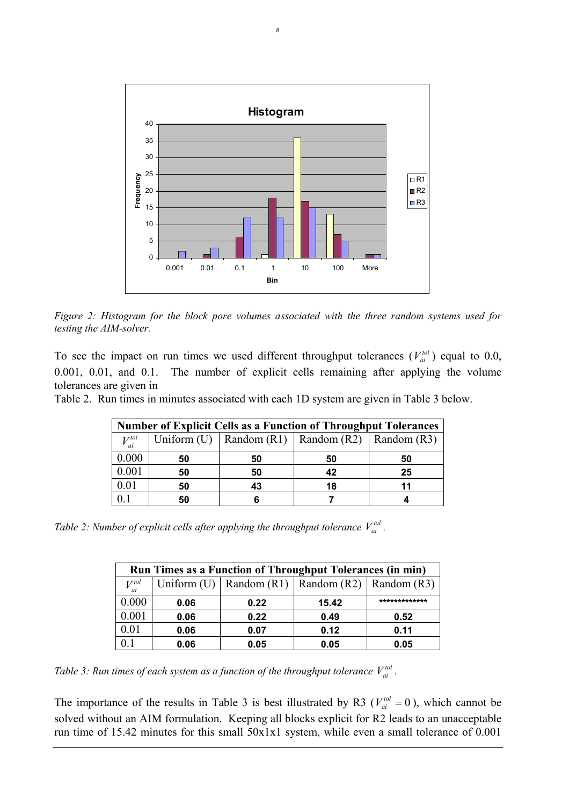<span id="page-7-0"></span>

8

*Figure 2: Histogram for the block pore volumes associated with the three random systems used for testing the AIM-solver.* 

To see the impact on run times we used different throughput tolerances  $(V_{ai}^{tol})$  equal to 0.0, 0.001, 0.01, and 0.1. The number of explicit cells remaining after applying the volume tolerances are given in *ai*

[Table 2.](#page-7-1) Run times in minutes associated with each 1D system are given in [Table 3](#page-7-2) below.

| <b>Number of Explicit Cells as a Function of Throughput Tolerances</b> |    |    |                                                       |    |  |  |  |
|------------------------------------------------------------------------|----|----|-------------------------------------------------------|----|--|--|--|
| $V_{ai}^{tol}$                                                         |    |    | Uniform (U)   Random (R1)   Random (R2)   Random (R3) |    |  |  |  |
| 0.000                                                                  | 50 | 50 | 50                                                    | 50 |  |  |  |
| 0.001                                                                  | 50 | 50 | 42                                                    | 25 |  |  |  |
| 0.01                                                                   | 50 | 43 | 18                                                    | 11 |  |  |  |
|                                                                        | 50 |    |                                                       |    |  |  |  |

<span id="page-7-3"></span><span id="page-7-1"></span>*Table 2: Number of explicit cells after applying the throughput tolerance*  $V_{ai}^{tol}$ .

| Run Times as a Function of Throughput Tolerances (in min) |      |      |                                                       |      |  |  |
|-----------------------------------------------------------|------|------|-------------------------------------------------------|------|--|--|
| $V_{ai}^{tol}$                                            |      |      | Uniform (U)   Random (R1)   Random (R2)   Random (R3) |      |  |  |
| 0.000                                                     | 0.06 | 0.22 | 15.42                                                 |      |  |  |
| $0.001\,$                                                 | 0.06 | 0.22 | 0.49                                                  | 0.52 |  |  |
| 0.01                                                      | 0.06 | 0.07 | 0.12                                                  | 0.11 |  |  |
|                                                           | 0.06 | 0.05 | 0.05                                                  | 0.05 |  |  |

<span id="page-7-2"></span>*Table 3: Run times of each system as a function of the throughput tolerance*  $V_{ai}^{tol}$ .

The importance of the results in [Table 3](#page-7-2) is best illustrated by R3 ( $V_{ai}^{tol} = 0$ ), which cannot be solved without an AIM formulation. Keeping all blocks explicit for R2 leads to an unacceptable run time of 15.42 minutes for this small 50x1x1 system, while even a small tolerance of 0.001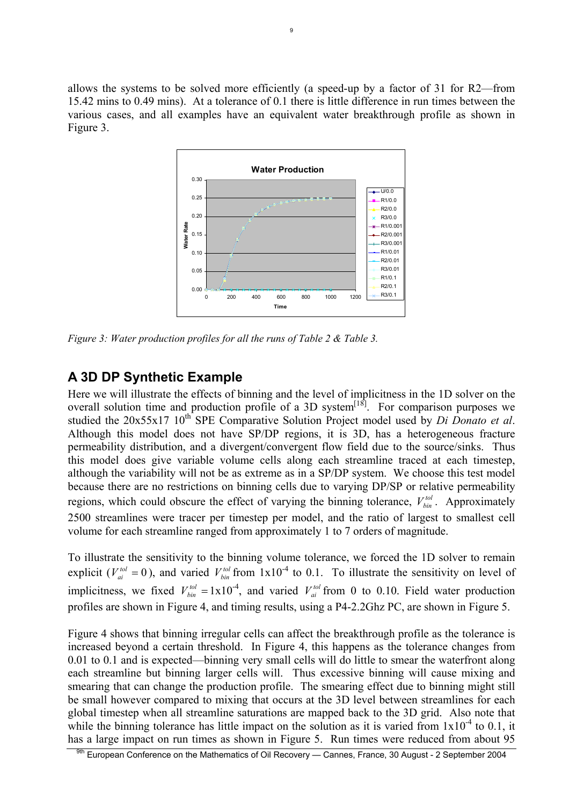<span id="page-8-0"></span>allows the systems to be solved more efficiently (a speed-up by a factor of 31 for R2—from 15.42 mins to 0.49 mins). At a tolerance of 0.1 there is little difference in run times between the various cases, and all examples have an equivalent water breakthrough profile as shown in [Figure 3.](#page-8-0)



*Figure 3: Water production profiles for all the runs of [Table 2](#page-7-3) & Table 3.* 

# **A 3D DP Synthetic Example**

Here we will illustrate the effects of binning and the level of implicitness in the 1D solver on the overall solution time and production profile of a 3D system<sup>[18]</sup>. For comparison purposes we studied the 20x55x17 10<sup>th</sup> SPE Comparative Solution Project model used by *Di Donato et al.* Although this model does not have SP/DP regions, it is 3D, has a heterogeneous fracture permeability distribution, and a divergent/convergent flow field due to the source/sinks. Thus this model does give variable volume cells along each streamline traced at each timestep, although the variability will not be as extreme as in a SP/DP system. We choose this test model because there are no restrictions on binning cells due to varying DP/SP or relative permeability regions, which could obscure the effect of varying the binning tolerance,  $V_{bin}^{tol}$ . Approximately 2500 streamlines were tracer per timestep per model, and the ratio of largest to smallest cell volume for each streamline ranged from approximately 1 to 7 orders of magnitude. *bin*

To illustrate the sensitivity to the binning volume tolerance, we forced the 1D solver to remain explicit ( $V_{ai}^{tol} = 0$ ), and varied  $V_{bin}^{tol}$  from  $1x10^{-4}$  to 0.1. To illustrate the sensitivity on level of implicitness, we fixed  $V_{bin}^{tol} = 1 \times 10^{-4}$ , and varied  $V_{ai}^{tol}$  from 0 to 0.10. Field water production profiles are shown in [Figure 4,](#page-9-0) and timing results, using a P4-2.2Ghz PC, are shown in [Figure 5.](#page-10-0) *tol bin tol ai*

[Figure 4](#page-9-0) shows that binning irregular cells can affect the breakthrough profile as the tolerance is increased beyond a certain threshold. In [Figure 4,](#page-9-0) this happens as the tolerance changes from 0.01 to 0.1 and is expected—binning very small cells will do little to smear the waterfront along each streamline but binning larger cells will. Thus excessive binning will cause mixing and smearing that can change the production profile. The smearing effect due to binning might still be small however compared to mixing that occurs at the 3D level between streamlines for each global timestep when all streamline saturations are mapped back to the 3D grid. Also note that while the binning tolerance has little impact on the solution as it is varied from  $1x10^{-4}$  to 0.1, it has a large impact on run times as shown in [Figure 5.](#page-10-0) Run times were reduced from about 95

<sup>9</sup>th European Conference on the Mathematics of Oil Recovery — Cannes, France, 30 August - 2 September 2004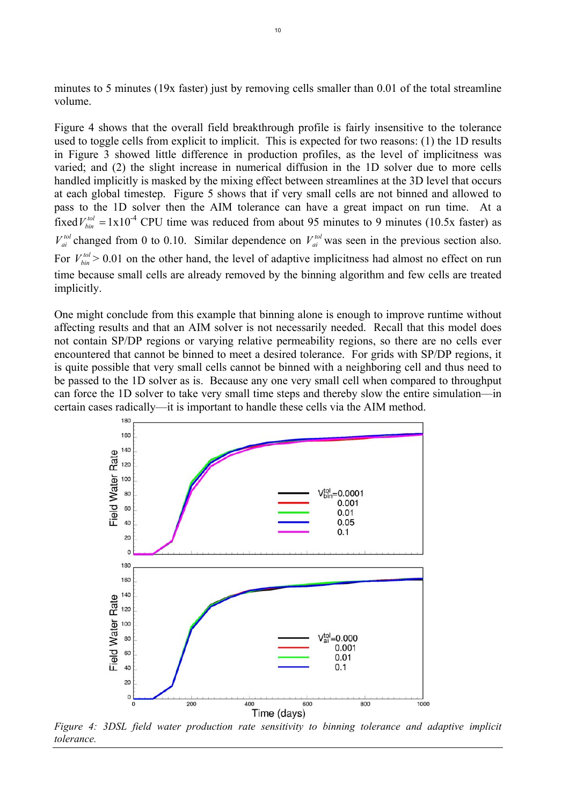minutes to 5 minutes (19x faster) just by removing cells smaller than 0.01 of the total streamline volume.

[Figure 4](#page-9-0) shows that the overall field breakthrough profile is fairly insensitive to the tolerance used to toggle cells from explicit to implicit. This is expected for two reasons: (1) the 1D results in [Figure 3](#page-8-0) showed little difference in production profiles, as the level of implicitness was varied; and (2) the slight increase in numerical diffusion in the 1D solver due to more cells handled implicitly is masked by the mixing effect between streamlines at the 3D level that occurs at each global timestep. [Figure 5](#page-10-0) shows that if very small cells are not binned and allowed to pass to the 1D solver then the AIM tolerance can have a great impact on run time. At a fixed  $V_{bin}^{tol} = 1 \times 10^{-4}$  CPU time was reduced from about 95 minutes to 9 minutes (10.5x faster) as  $V_{ai}^{tol}$  changed from 0 to 0.10. Similar dependence on  $V_{ai}^{tol}$  was seen in the previous section also. For  $V_{bin}^{tol}$  > 0.01 on the other hand, the level of adaptive implicitness had almost no effect on run time because small cells are already removed by the binning algorithm and few cells are treated implicitly. *bin ai*

One might conclude from this example that binning alone is enough to improve runtime without affecting results and that an AIM solver is not necessarily needed. Recall that this model does not contain SP/DP regions or varying relative permeability regions, so there are no cells ever encountered that cannot be binned to meet a desired tolerance. For grids with SP/DP regions, it is quite possible that very small cells cannot be binned with a neighboring cell and thus need to be passed to the 1D solver as is. Because any one very small cell when compared to throughput can force the 1D solver to take very small time steps and thereby slow the entire simulation—in certain cases radically—it is important to handle these cells via the AIM method.

<span id="page-9-0"></span>

*Figure 4: 3DSL field water production rate sensitivity to binning tolerance and adaptive implicit tolerance.*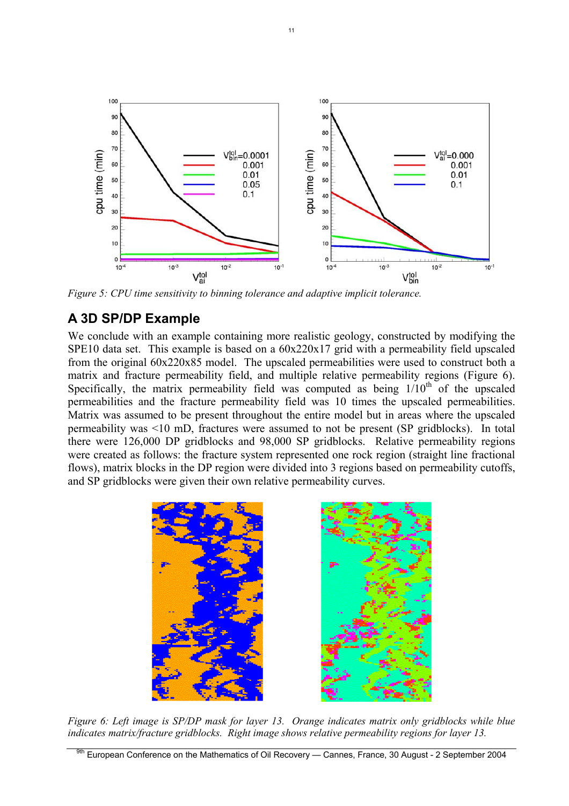<span id="page-10-0"></span>

*Figure 5: CPU time sensitivity to binning tolerance and adaptive implicit tolerance.* 

# **A 3D SP/DP Example**

We conclude with an example containing more realistic geology, constructed by modifying the SPE10 data set. This example is based on a  $60x220x17$  grid with a permeability field upscaled from the original 60x220x85 model. The upscaled permeabilities were used to construct both a matrix and fracture permeability field, and multiple relative permeability regions ([Figure 6\)](#page-10-1). Specifically, the matrix permeability field was computed as being  $1/10<sup>th</sup>$  of the upscaled permeabilities and the fracture permeability field was 10 times the upscaled permeabilities. Matrix was assumed to be present throughout the entire model but in areas where the upscaled permeability was <10 mD, fractures were assumed to not be present (SP gridblocks). In total there were 126,000 DP gridblocks and 98,000 SP gridblocks. Relative permeability regions were created as follows: the fracture system represented one rock region (straight line fractional flows), matrix blocks in the DP region were divided into 3 regions based on permeability cutoffs, and SP gridblocks were given their own relative permeability curves.

<span id="page-10-1"></span>

*Figure 6: Left image is SP/DP mask for layer 13. Orange indicates matrix only gridblocks while blue indicates matrix/fracture gridblocks. Right image shows relative permeability regions for layer 13.*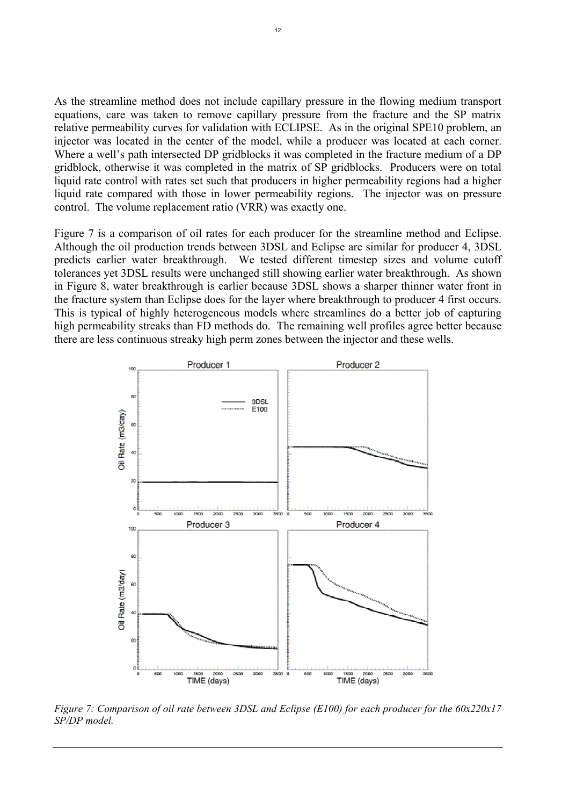As the streamline method does not include capillary pressure in the flowing medium transport equations, care was taken to remove capillary pressure from the fracture and the SP matrix relative permeability curves for validation with ECLIPSE. As in the original SPE10 problem, an injector was located in the center of the model, while a producer was located at each corner. Where a well's path intersected DP gridblocks it was completed in the fracture medium of a DP gridblock, otherwise it was completed in the matrix of SP gridblocks. Producers were on total liquid rate control with rates set such that producers in higher permeability regions had a higher liquid rate compared with those in lower permeability regions. The injector was on pressure control. The volume replacement ratio (VRR) was exactly one.

[Figure 7](#page-11-0) is a comparison of oil rates for each producer for the streamline method and Eclipse. Although the oil production trends between 3DSL and Eclipse are similar for producer 4, 3DSL predicts earlier water breakthrough. We tested different timestep sizes and volume cutoff tolerances yet 3DSL results were unchanged still showing earlier water breakthrough. As shown in [Figure 8,](#page-12-0) water breakthrough is earlier because 3DSL shows a sharper thinner water front in the fracture system than Eclipse does for the layer where breakthrough to producer 4 first occurs. This is typical of highly heterogeneous models where streamlines do a better job of capturing high permeability streaks than FD methods do. The remaining well profiles agree better because there are less continuous streaky high perm zones between the injector and these wells.

<span id="page-11-0"></span>

*Figure 7: Comparison of oil rate between 3DSL and Eclipse (E100) for each producer for the 60x220x17 SP/DP model.*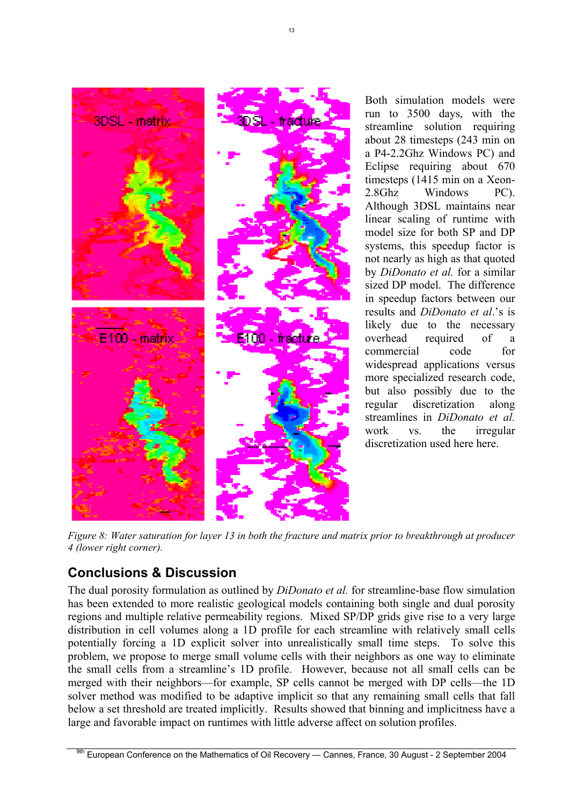

Both simulation models were run to 3500 days, with the streamline solution requiring about 28 timesteps (243 min on a P4-2.2Ghz Windows PC) and Eclipse requiring about 670 timesteps (1415 min on a Xeon-2.8Ghz Windows PC). Although 3DSL maintains near linear scaling of runtime with model size for both SP and DP systems, this speedup factor is not nearly as high as that quoted by *DiDonato et al.* for a similar sized DP model. The difference in speedup factors between our results and *DiDonato et al*.'s is likely due to the necessary overhead required of a commercial code for widespread applications versus more specialized research code, but also possibly due to the regular discretization along streamlines in *DiDonato et al.*  work vs. the irregular discretization used here here.

<span id="page-12-0"></span>*Figure 8: Water saturation for layer 13 in both the fracture and matrix prior to breakthrough at producer 4 (lower right corner).* 

# **Conclusions & Discussion**

The dual porosity formulation as outlined by *DiDonato et al.* for streamline-base flow simulation has been extended to more realistic geological models containing both single and dual porosity regions and multiple relative permeability regions. Mixed SP/DP grids give rise to a very large distribution in cell volumes along a 1D profile for each streamline with relatively small cells potentially forcing a 1D explicit solver into unrealistically small time steps. To solve this problem, we propose to merge small volume cells with their neighbors as one way to eliminate the small cells from a streamline's 1D profile. However, because not all small cells can be merged with their neighbors—for example, SP cells cannot be merged with DP cells—the 1D solver method was modified to be adaptive implicit so that any remaining small cells that fall below a set threshold are treated implicitly. Results showed that binning and implicitness have a large and favorable impact on runtimes with little adverse affect on solution profiles.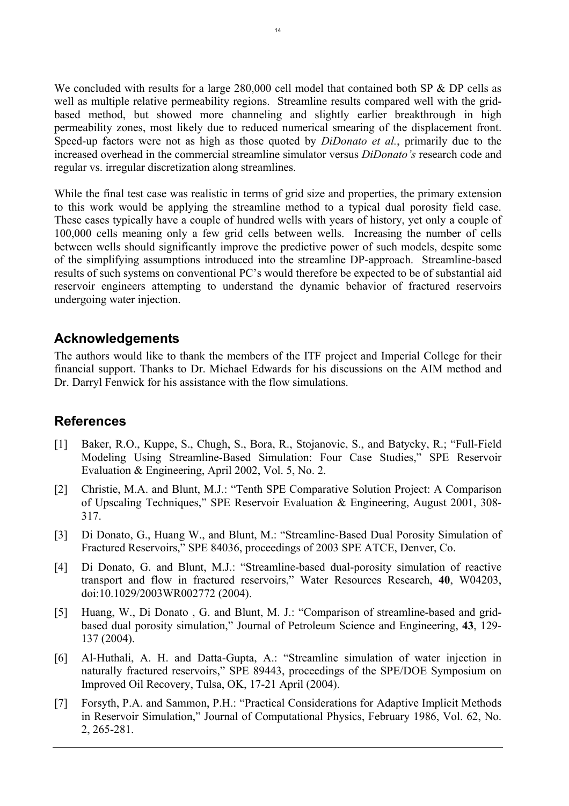We concluded with results for a large 280,000 cell model that contained both SP & DP cells as well as multiple relative permeability regions. Streamline results compared well with the gridbased method, but showed more channeling and slightly earlier breakthrough in high permeability zones, most likely due to reduced numerical smearing of the displacement front. Speed-up factors were not as high as those quoted by *DiDonato et al.*, primarily due to the increased overhead in the commercial streamline simulator versus *DiDonato's* research code and regular vs. irregular discretization along streamlines.

While the final test case was realistic in terms of grid size and properties, the primary extension to this work would be applying the streamline method to a typical dual porosity field case. These cases typically have a couple of hundred wells with years of history, yet only a couple of 100,000 cells meaning only a few grid cells between wells. Increasing the number of cells between wells should significantly improve the predictive power of such models, despite some of the simplifying assumptions introduced into the streamline DP-approach. Streamline-based results of such systems on conventional PC's would therefore be expected to be of substantial aid reservoir engineers attempting to understand the dynamic behavior of fractured reservoirs undergoing water injection.

### **Acknowledgements**

The authors would like to thank the members of the ITF project and Imperial College for their financial support. Thanks to Dr. Michael Edwards for his discussions on the AIM method and Dr. Darryl Fenwick for his assistance with the flow simulations.

# **References**

- <span id="page-13-0"></span>[1] Baker, R.O., Kuppe, S., Chugh, S., Bora, R., Stojanovic, S., and Batycky, R.; "Full-Field Modeling Using Streamline-Based Simulation: Four Case Studies," SPE Reservoir Evaluation & Engineering, April 2002, Vol. 5, No. 2.
- <span id="page-13-1"></span>[2] Christie, M.A. and Blunt, M.J.: "Tenth SPE Comparative Solution Project: A Comparison of Upscaling Techniques," SPE Reservoir Evaluation & Engineering, August 2001, 308- 317.
- [3] Di Donato, G., Huang W., and Blunt, M.: "Streamline-Based Dual Porosity Simulation of Fractured Reservoirs," SPE 84036, proceedings of 2003 SPE ATCE, Denver, Co.
- [4] Di Donato, G. and Blunt, M.J.: "Streamline-based dual-porosity simulation of reactive transport and flow in fractured reservoirs," Water Resources Research, **40**, W04203, doi:10.1029/2003WR002772 (2004).
- [5] Huang, W., Di Donato , G. and Blunt, M. J.: "Comparison of streamline-based and gridbased dual porosity simulation," Journal of Petroleum Science and Engineering, **43**, 129- 137 (2004).
- [6] Al-Huthali, A. H. and Datta-Gupta, A.: "Streamline simulation of water injection in naturally fractured reservoirs," SPE 89443, proceedings of the SPE/DOE Symposium on Improved Oil Recovery, Tulsa, OK, 17-21 April (2004).
- <span id="page-13-2"></span>[7] Forsyth, P.A. and Sammon, P.H.: "Practical Considerations for Adaptive Implicit Methods in Reservoir Simulation," Journal of Computational Physics, February 1986, Vol. 62, No. 2, 265-281.